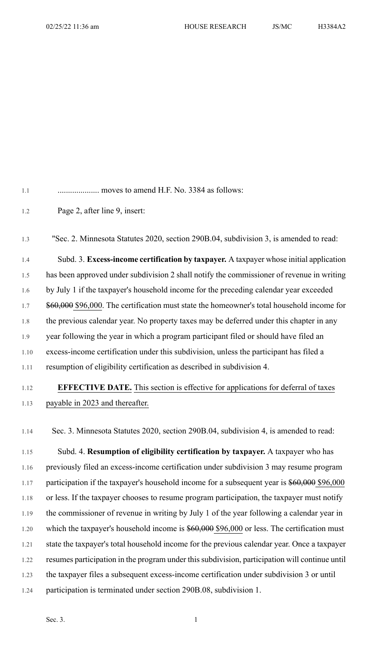1.2 Page 2, after line 9, insert:

1.3 "Sec. 2. Minnesota Statutes 2020, section 290B.04, subdivision 3, is amended to read: 1.4 Subd. 3. **Excess-income certification by taxpayer.** A taxpayer whose initial application 1.5 has been approved under subdivision 2 shall notify the commissioner of revenue in writing 1.6 by July 1 if the taxpayer's household income for the preceding calendar year exceeded 1.7 \$60,000 \$96,000. The certification must state the homeowner's total household income for 1.8 the previous calendar year. No property taxes may be deferred under this chapter in any 1.9 year following the year in which a program participant filed or should have filed an 1.10 excess-income certification under this subdivision, unless the participant has filed a 1.11 resumption of eligibility certification as described in subdivision 4.

## 1.12 **EFFECTIVE DATE.** This section is effective for applications for deferral of taxes 1.13 payable in 2023 and thereafter.

1.14 Sec. 3. Minnesota Statutes 2020, section 290B.04, subdivision 4, is amended to read:

1.15 Subd. 4. **Resumption of eligibility certification by taxpayer.** A taxpayer who has 1.16 previously filed an excess-income certification under subdivision 3 may resume program 1.17 participation if the taxpayer's household income for a subsequent year is \$60,000 \$96,000 1.18 or less. If the taxpayer chooses to resume program participation, the taxpayer must notify 1.19 the commissioner of revenue in writing by July 1 of the year following a calendar year in 1.20 which the taxpayer's household income is \$60,000 \$96,000 or less. The certification must 1.21 state the taxpayer's total household income for the previous calendar year. Once a taxpayer 1.22 resumes participation in the program under thissubdivision, participation will continue until 1.23 the taxpayer files a subsequent excess-income certification under subdivision 3 or until 1.24 participation is terminated under section 290B.08, subdivision 1.